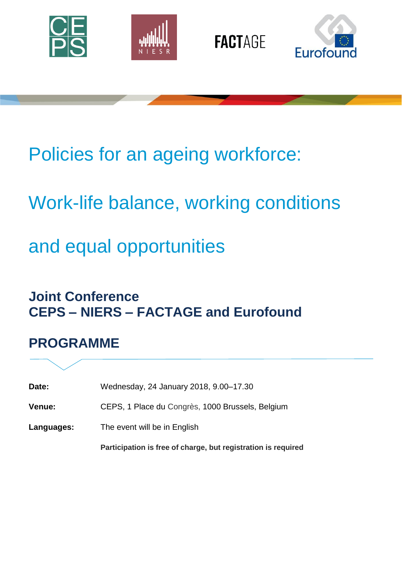







# Policies for an ageing workforce:

# Work-life balance, working conditions

# and equal opportunities

### **Joint Conference CEPS – NIERS – FACTAGE and Eurofound**

## **PROGRAMME**

| Date: | Wednesday, 24 January 2018, 9.00–17.30 |  |  |  |
|-------|----------------------------------------|--|--|--|
|-------|----------------------------------------|--|--|--|

**Venue:** CEPS, 1 Place du Congrès, 1000 Brussels, Belgium

**Languages:** The event will be in English

**Participation is free of charge, but registration is required**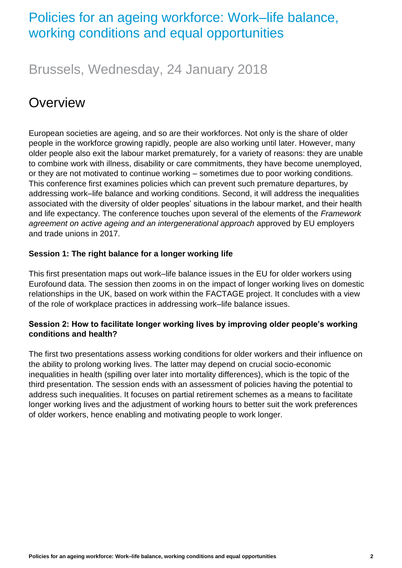#### Policies for an ageing workforce: Work–life balance, working conditions and equal opportunities

### Brussels, Wednesday, 24 January 2018

## **Overview**

European societies are ageing, and so are their workforces. Not only is the share of older people in the workforce growing rapidly, people are also working until later. However, many older people also exit the labour market prematurely, for a variety of reasons: they are unable to combine work with illness, disability or care commitments, they have become unemployed, or they are not motivated to continue working – sometimes due to poor working conditions. This conference first examines policies which can prevent such premature departures, by addressing work–life balance and working conditions. Second, it will address the inequalities associated with the diversity of older peoples' situations in the labour market, and their health and life expectancy. The conference touches upon several of the elements of the *Framework agreement on active ageing and an intergenerational approach* approved by EU employers and trade unions in 2017.

#### **Session 1: The right balance for a longer working life**

This first presentation maps out work–life balance issues in the EU for older workers using Eurofound data. The session then zooms in on the impact of longer working lives on domestic relationships in the UK, based on work within the FACTAGE project. It concludes with a view of the role of workplace practices in addressing work–life balance issues.

#### **Session 2: How to facilitate longer working lives by improving older people's working conditions and health?**

The first two presentations assess working conditions for older workers and their influence on the ability to prolong working lives. The latter may depend on crucial socio-economic inequalities in health (spilling over later into mortality differences), which is the topic of the third presentation. The session ends with an assessment of policies having the potential to address such inequalities. It focuses on partial retirement schemes as a means to facilitate longer working lives and the adjustment of working hours to better suit the work preferences of older workers, hence enabling and motivating people to work longer.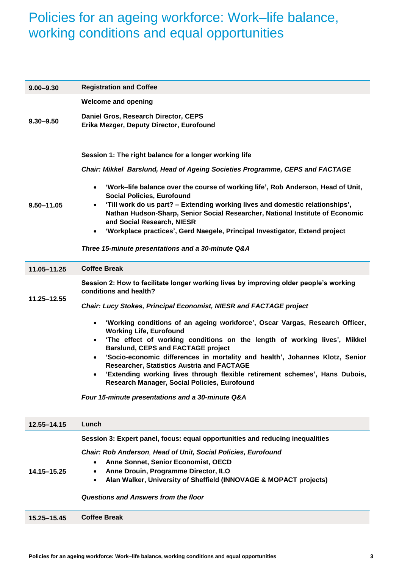### Policies for an ageing workforce: Work–life balance, working conditions and equal opportunities

| $9.00 - 9.30$  | <b>Registration and Coffee</b>                                                                                                                                                                                                                                                                                    |
|----------------|-------------------------------------------------------------------------------------------------------------------------------------------------------------------------------------------------------------------------------------------------------------------------------------------------------------------|
|                | <b>Welcome and opening</b>                                                                                                                                                                                                                                                                                        |
| $9.30 - 9.50$  | Daniel Gros, Research Director, CEPS<br>Erika Mezger, Deputy Director, Eurofound                                                                                                                                                                                                                                  |
|                | Session 1: The right balance for a longer working life                                                                                                                                                                                                                                                            |
| $9.50 - 11.05$ | Chair: Mikkel Barslund, Head of Ageing Societies Programme, CEPS and FACTAGE                                                                                                                                                                                                                                      |
|                | 'Work-life balance over the course of working life', Rob Anderson, Head of Unit,<br>$\bullet$<br><b>Social Policies, Eurofound</b><br>'Till work do us part? - Extending working lives and domestic relationships',<br>$\bullet$<br>Nathan Hudson-Sharp, Senior Social Researcher, National Institute of Economic |
|                | and Social Research, NIESR                                                                                                                                                                                                                                                                                        |
|                | 'Workplace practices', Gerd Naegele, Principal Investigator, Extend project                                                                                                                                                                                                                                       |
|                | Three 15-minute presentations and a 30-minute Q&A                                                                                                                                                                                                                                                                 |
| 11.05-11.25    | <b>Coffee Break</b>                                                                                                                                                                                                                                                                                               |
| 11.25-12.55    | Session 2: How to facilitate longer working lives by improving older people's working<br>conditions and health?                                                                                                                                                                                                   |
|                | <b>Chair: Lucy Stokes, Principal Economist, NIESR and FACTAGE project</b>                                                                                                                                                                                                                                         |
|                | 'Working conditions of an ageing workforce', Oscar Vargas, Research Officer,<br><b>Working Life, Eurofound</b>                                                                                                                                                                                                    |
|                | 'The effect of working conditions on the length of working lives', Mikkel<br><b>Barslund, CEPS and FACTAGE project</b>                                                                                                                                                                                            |
|                | 'Socio-economic differences in mortality and health', Johannes Klotz, Senior<br>$\bullet$<br>Researcher, Statistics Austria and FACTAGE                                                                                                                                                                           |
|                | 'Extending working lives through flexible retirement schemes', Hans Dubois,<br>$\bullet$<br>Research Manager, Social Policies, Eurofound                                                                                                                                                                          |
|                | Four 15-minute presentations and a 30-minute Q&A                                                                                                                                                                                                                                                                  |
| 12.55-14.15    | Lunch                                                                                                                                                                                                                                                                                                             |
|                | Session 3: Expert panel, focus: equal opportunities and reducing inequalities                                                                                                                                                                                                                                     |
| 14.15-15.25    | Chair: Rob Anderson, Head of Unit, Social Policies, Eurofound                                                                                                                                                                                                                                                     |
|                | Anne Sonnet, Senior Economist, OECD<br>$\bullet$                                                                                                                                                                                                                                                                  |
|                | Anne Drouin, Programme Director, ILO<br>$\bullet$                                                                                                                                                                                                                                                                 |
|                | Alan Walker, University of Sheffield (INNOVAGE & MOPACT projects)<br>$\bullet$                                                                                                                                                                                                                                    |
|                | Questions and Answers from the floor                                                                                                                                                                                                                                                                              |
| 15.25-15.45    | <b>Coffee Break</b>                                                                                                                                                                                                                                                                                               |